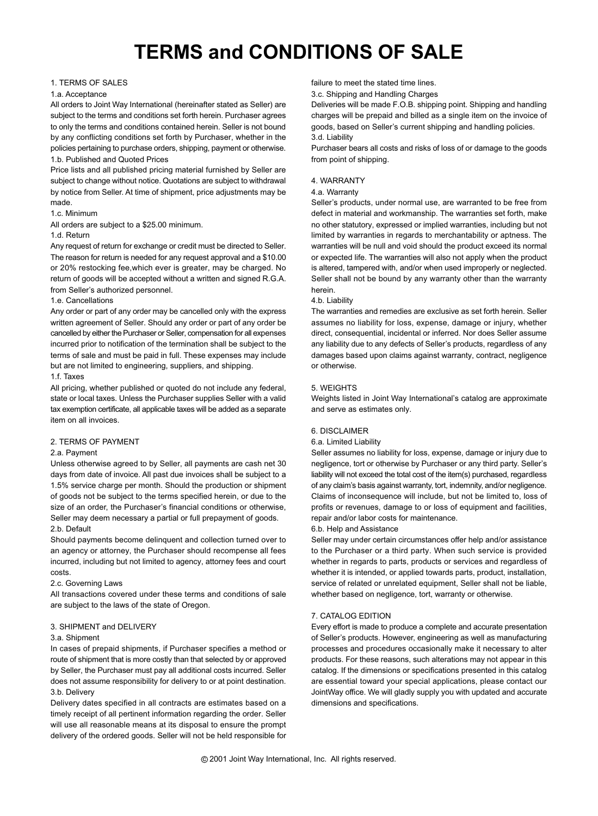# **TERMS and CONDITIONS OF SALE**

# 1. TERMS OF SALES

# 1.a. Acceptance

All orders to Joint Way International (hereinafter stated as Seller) are subject to the terms and conditions set forth herein. Purchaser agrees to only the terms and conditions contained herein. Seller is not bound by any conflicting conditions set forth by Purchaser, whether in the policies pertaining to purchase orders, shipping, payment or otherwise. 1.b. Published and Quoted Prices

Price lists and all published pricing material furnished by Seller are subject to change without notice. Quotations are subject to withdrawal by notice from Seller. At time of shipment, price adjustments may be made.

#### 1.c. Minimum

All orders are subject to a \$25.00 minimum.

# 1.d. Return

Any request of return for exchange or credit must be directed to Seller. The reason for return is needed for any request approval and a \$10.00 or 20% restocking fee,which ever is greater, may be charged. No return of goods will be accepted without a written and signed R.G.A. from Seller's authorized personnel.

# 1.e. Cancellations

Any order or part of any order may be cancelled only with the express written agreement of Seller. Should any order or part of any order be cancelled by either the Purchaser or Seller, compensation for all expenses incurred prior to notification of the termination shall be subject to the terms of sale and must be paid in full. These expenses may include but are not limited to engineering, suppliers, and shipping.

## 1.f. Taxes

All pricing, whether published or quoted do not include any federal, state or local taxes. Unless the Purchaser supplies Seller with a valid tax exemption certificate, all applicable taxes will be added as a separate item on all invoices.

# 2. TERMS OF PAYMENT

# 2.a. Payment

Unless otherwise agreed to by Seller, all payments are cash net 30 days from date of invoice. All past due invoices shall be subject to a 1.5% service charge per month. Should the production or shipment of goods not be subject to the terms specified herein, or due to the size of an order, the Purchaser's financial conditions or otherwise, Seller may deem necessary a partial or full prepayment of goods. 2.b. Default

Should payments become delinquent and collection turned over to an agency or attorney, the Purchaser should recompense all fees incurred, including but not limited to agency, attorney fees and court costs.

# 2.c. Governing Laws

All transactions covered under these terms and conditions of sale are subject to the laws of the state of Oregon.

# 3. SHIPMENT and DELIVERY

#### 3.a. Shipment

In cases of prepaid shipments, if Purchaser specifies a method or route of shipment that is more costly than that selected by or approved by Seller, the Purchaser must pay all additional costs incurred. Seller does not assume responsibility for delivery to or at point destination. 3.b. Delivery

Delivery dates specified in all contracts are estimates based on a timely receipt of all pertinent information regarding the order. Seller will use all reasonable means at its disposal to ensure the prompt delivery of the ordered goods. Seller will not be held responsible for failure to meet the stated time lines.

3.c. Shipping and Handling Charges

Deliveries will be made F.O.B. shipping point. Shipping and handling charges will be prepaid and billed as a single item on the invoice of goods, based on Seller's current shipping and handling policies. 3.d. Liability

Purchaser bears all costs and risks of loss of or damage to the goods from point of shipping.

#### 4. WARRANTY

#### 4.a. Warranty

Seller's products, under normal use, are warranted to be free from defect in material and workmanship. The warranties set forth, make no other statutory, expressed or implied warranties, including but not limited by warranties in regards to merchantability or aptness. The warranties will be null and void should the product exceed its normal or expected life. The warranties will also not apply when the product is altered, tampered with, and/or when used improperly or neglected. Seller shall not be bound by any warranty other than the warranty herein.

#### 4.b. Liability

The warranties and remedies are exclusive as set forth herein. Seller assumes no liability for loss, expense, damage or injury, whether direct, consequential, incidental or inferred. Nor does Seller assume any liability due to any defects of Seller's products, regardless of any damages based upon claims against warranty, contract, negligence or otherwise.

#### 5. WEIGHTS

Weights listed in Joint Way International's catalog are approximate and serve as estimates only.

#### 6. DISCLAIMER

#### 6.a. Limited Liability

Seller assumes no liability for loss, expense, damage or injury due to negligence, tort or otherwise by Purchaser or any third party. Seller's liability will not exceed the total cost of the item(s) purchased, regardless of any claim's basis against warranty, tort, indemnity, and/or negligence. Claims of inconsequence will include, but not be limited to, loss of profits or revenues, damage to or loss of equipment and facilities, repair and/or labor costs for maintenance.

## 6.b. Help and Assistance

Seller may under certain circumstances offer help and/or assistance to the Purchaser or a third party. When such service is provided whether in regards to parts, products or services and regardless of whether it is intended, or applied towards parts, product, installation, service of related or unrelated equipment, Seller shall not be liable, whether based on negligence, tort, warranty or otherwise.

# 7. CATALOG EDITION

Every effort is made to produce a complete and accurate presentation of Seller's products. However, engineering as well as manufacturing processes and procedures occasionally make it necessary to alter products. For these reasons, such alterations may not appear in this catalog. If the dimensions or specifications presented in this catalog are essential toward your special applications, please contact our JointWay office. We will gladly supply you with updated and accurate dimensions and specifications.